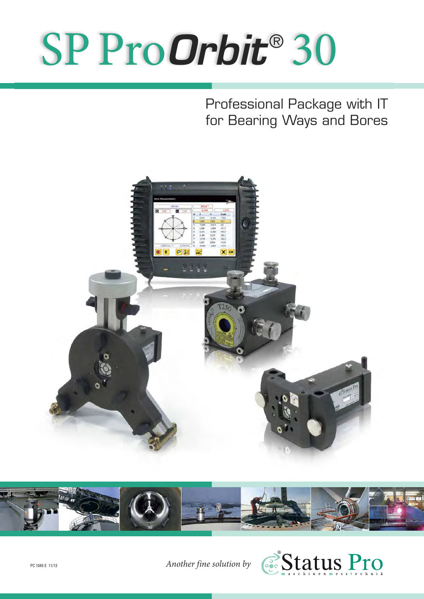# SP Pro*Orbit* ® 30

Professional Package with IT for Bearing Ways and Bores





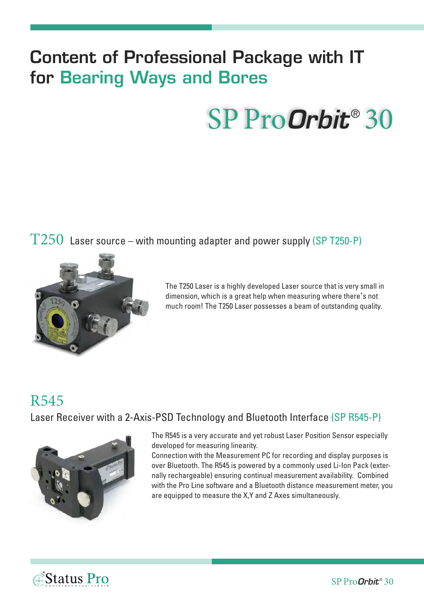### **Content of Professional Package with IT for Bearing Ways and Bores**

## SP Pro**Orbit**® 30

 $T250$  Laser source – with mounting adapter and power supply (SP T250-P)



The T250 Laser is a highly developed Laser source that is very small in dimension, which is a great help when measuring where there's not much room! The T250 Laser possesses a beam of outstanding quality.

#### R545

Laser Receiver with a 2-Axis-PSD Technology and Bluetooth Interface (SP R545-P)



The R545 is a very accurate and yet robust Laser Position Sensor especially developed for measuring linearity.

Connection with the Measurement PC for recording and display purposes is over Bluetooth. The R545 is powered by a commonly used Li-Ion Pack (externally rechargeable) ensuring continual measurement availability. Combined with the Pro Line software and a Bluetooth distance measurement meter, you are equipped to measure the X,Y and Z Axes simultaneously.

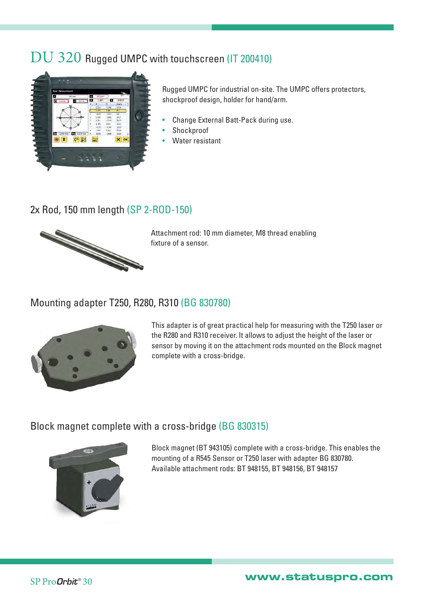#### DU 320 Rugged UMPC with touchscreen (IT 200410)



Rugged UMPC for industrial on-site. The UMPC offers protectors, shockproof design, holder for hand/arm.

- Change External Batt-Pack during use.
- **Shockproof**
- Water resistant

#### 2x Rod, 150 mm length (SP 2-ROD-150)



Attachment rod: 10 mm diameter, M8 thread enabling fixture of a sensor.

#### Mounting adapter T250, R280, R310 (BG 830780)



This adapter is of great practical help for measuring with the T250 laser or the R280 and R310 receiver. It allows to adjust the height of the laser or sensor by moving it on the attachment rods mounted on the Block magnet complete with a cross-bridge.

#### Block magnet complete with a cross-bridge (BG 830315)



Block magnet (BT 943105) complete with a cross-bridge. This enables the mounting of a R545 Sensor or T250 laser with adapter BG 830780. Available attachment rods: BT 948155, BT 948156, BT 948157

SP Pro*Orbit* ® <sup>30</sup> **www.statuspro.com**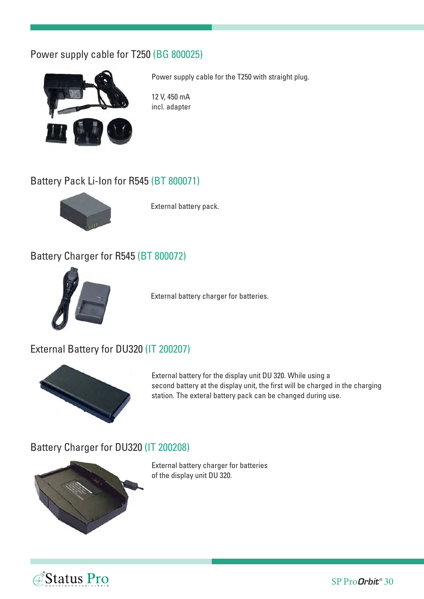#### Power supply cable for T250 (BG 800025)



Power supply cable for the T250 with straight plug.

12 V, 450 mA incl. adapter

#### Battery Pack Li-Ion for R545 (BT 800071)



External battery pack.

#### Battery Charger for R545 (BT 800072)



External battery charger for batteries.

#### External Battery for DU320 (IT 200207)



External battery for the display unit DU 320. While using a second battery at the display unit, the first will be charged in the charging station. The exteral battery pack can be changed during use.

#### Battery Charger for DU320 (IT 200208)



External battery charger for batteries of the display unit DU 320.

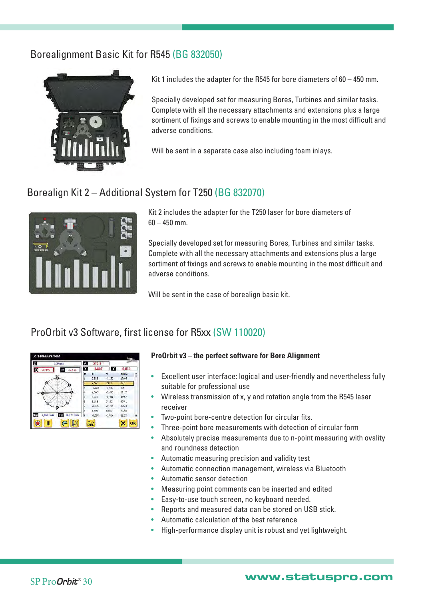#### Borealignment Basic Kit for R545 (BG 832050)



Kit 1 includes the adapter for the R545 for bore diameters of 60 – 450 mm.

Specially developed set for measuring Bores, Turbines and similar tasks. Complete with all the necessary attachments and extensions plus a large sortiment of fixings and screws to enable mounting in the most difficult and adverse conditions.

Will be sent in a separate case also including foam inlays.

#### Borealign Kit 2 – Additional System for T250 (BG 832070)



Kit 2 includes the adapter for the T250 laser for bore diameters of  $60 - 450$  mm.

Specially developed set for measuring Bores, Turbines and similar tasks. Complete with all the necessary attachments and extensions plus a large sortiment of fixings and screws to enable mounting in the most difficult and adverse conditions.

Will be sent in the case of borealign basic kit.

#### ProOrbit v3 Software, first license for R5xx (SW 110020)

|       | 100 mm                          | $\theta$ | $272.8^{\circ}$ |          |       |    |
|-------|---------------------------------|----------|-----------------|----------|-------|----|
| 52,9% | 47,150<br>э                     | X        | 1.807           |          | 0.813 |    |
|       |                                 | #        | ×               | Ÿ        | Angle |    |
|       |                                 |          | 2,518           | $-0.162$ | 179.6 |    |
|       |                                 |          | 2,669           | 2,081    | 92,2  |    |
|       |                                 | š        | 3,288           | 0.913    | 3.5   |    |
| 276%  |                                 | ı        | 1,006           | $-2.693$ | 271.7 |    |
|       |                                 | Б        | 3,221           | $-0.346$ | 359,7 |    |
|       |                                 | 6        | 3,188           | 3,132    | 320,1 |    |
|       |                                 | 7        | $-3,726$        | $-8.701$ | 226.2 |    |
|       |                                 | 8        | 1,807           | 0,813    | 272,8 |    |
| (m    | $-2,660$ mm<br>$0,176$ mm<br>Ym | ģ        | $-6,590$        | $-2.664$ | 122.5 |    |
|       | Ш                               |          | <b>DEL</b>      |          | x     | OK |

#### **ProOrbit v3 – the perfect software for Bore Alignment**

- Excellent user interface: logical and user-friendly and nevertheless fully suitable for professional use
- Wireless transmission of x, y and rotation angle from the R545 laser receiver
- Two-point bore-centre detection for circular fits.
- Three-point bore measurements with detection of circular form
- Absolutely precise measurements due to n-point measuring with ovality and roundness detection
- Automatic measuring precision and validity test
- Automatic connection management, wireless via Bluetooth
- Automatic sensor detection
- Measuring point comments can be inserted and edited
- Easy-to-use touch screen, no keyboard needed.
- Reports and measured data can be stored on USB stick.
- Automatic calculation of the best reference
- High-performance display unit is robust and yet lightweight.